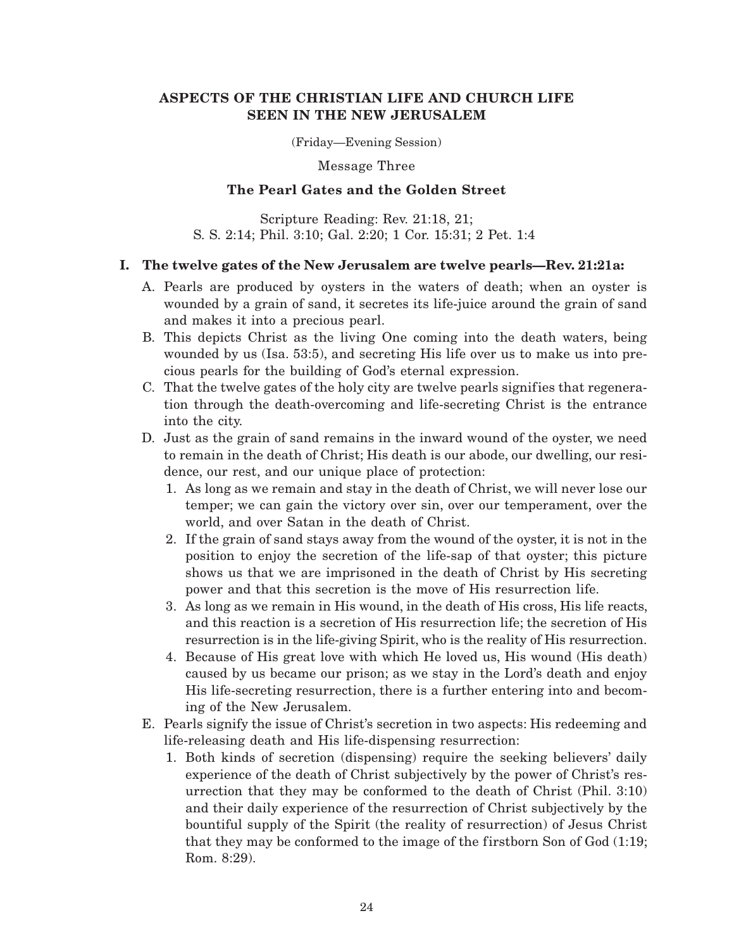# **ASPECTS OF THE CHRISTIAN LIFE AND CHURCH LIFE SEEN IN THE NEW JERUSALEM**

(Friday—Evening Session)

Message Three

# **The Pearl Gates and the Golden Street**

Scripture Reading: Rev. 21:18, 21; S. S. 2:14; Phil. 3:10; Gal. 2:20; 1 Cor. 15:31; 2 Pet. 1:4

# **I. The twelve gates of the New Jerusalem are twelve pearls—Rev. 21:21a:**

- A. Pearls are produced by oysters in the waters of death; when an oyster is wounded by a grain of sand, it secretes its life-juice around the grain of sand and makes it into a precious pearl.
- B. This depicts Christ as the living One coming into the death waters, being wounded by us (Isa. 53:5), and secreting His life over us to make us into precious pearls for the building of God's eternal expression.
- C. That the twelve gates of the holy city are twelve pearls signifies that regeneration through the death-overcoming and life-secreting Christ is the entrance into the city.
- D. Just as the grain of sand remains in the inward wound of the oyster, we need to remain in the death of Christ; His death is our abode, our dwelling, our residence, our rest, and our unique place of protection:
	- 1. As long as we remain and stay in the death of Christ, we will never lose our temper; we can gain the victory over sin, over our temperament, over the world, and over Satan in the death of Christ.
	- 2. If the grain of sand stays away from the wound of the oyster, it is not in the position to enjoy the secretion of the life-sap of that oyster; this picture shows us that we are imprisoned in the death of Christ by His secreting power and that this secretion is the move of His resurrection life.
	- 3. As long as we remain in His wound, in the death of His cross, His life reacts, and this reaction is a secretion of His resurrection life; the secretion of His resurrection is in the life-giving Spirit, who is the reality of His resurrection.
	- 4. Because of His great love with which He loved us, His wound (His death) caused by us became our prison; as we stay in the Lord's death and enjoy His life-secreting resurrection, there is a further entering into and becoming of the New Jerusalem.
- E. Pearls signify the issue of Christ's secretion in two aspects: His redeeming and life-releasing death and His life-dispensing resurrection:
	- 1. Both kinds of secretion (dispensing) require the seeking believers' daily experience of the death of Christ subjectively by the power of Christ's resurrection that they may be conformed to the death of Christ (Phil. 3:10) and their daily experience of the resurrection of Christ subjectively by the bountiful supply of the Spirit (the reality of resurrection) of Jesus Christ that they may be conformed to the image of the firstborn Son of God (1:19; Rom. 8:29).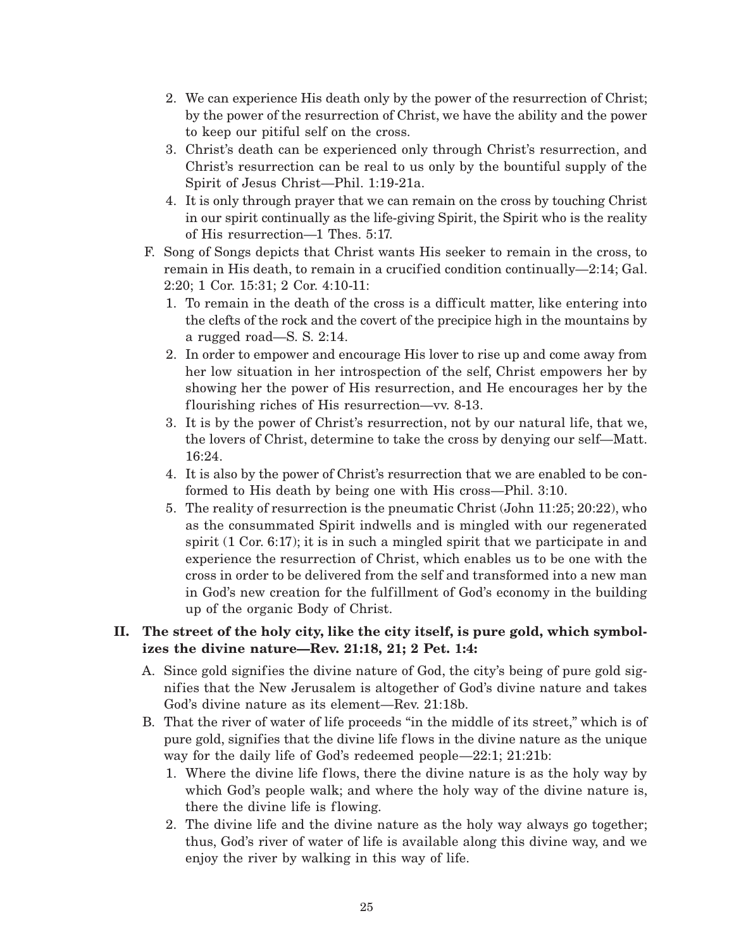- 2. We can experience His death only by the power of the resurrection of Christ; by the power of the resurrection of Christ, we have the ability and the power to keep our pitiful self on the cross.
- 3. Christ's death can be experienced only through Christ's resurrection, and Christ's resurrection can be real to us only by the bountiful supply of the Spirit of Jesus Christ—Phil. 1:19-21a.
- 4. It is only through prayer that we can remain on the cross by touching Christ in our spirit continually as the life-giving Spirit, the Spirit who is the reality of His resurrection—1 Thes. 5:17.
- F. Song of Songs depicts that Christ wants His seeker to remain in the cross, to remain in His death, to remain in a crucified condition continually—2:14; Gal. 2:20; 1 Cor. 15:31; 2 Cor. 4:10-11:
	- 1. To remain in the death of the cross is a difficult matter, like entering into the clefts of the rock and the covert of the precipice high in the mountains by a rugged road—S. S. 2:14.
	- 2. In order to empower and encourage His lover to rise up and come away from her low situation in her introspection of the self, Christ empowers her by showing her the power of His resurrection, and He encourages her by the flourishing riches of His resurrection—vv. 8-13.
	- 3. It is by the power of Christ's resurrection, not by our natural life, that we, the lovers of Christ, determine to take the cross by denying our self—Matt. 16:24.
	- 4. It is also by the power of Christ's resurrection that we are enabled to be conformed to His death by being one with His cross—Phil. 3:10.
	- 5. The reality of resurrection is the pneumatic Christ (John 11:25; 20:22), who as the consummated Spirit indwells and is mingled with our regenerated spirit (1 Cor. 6:17); it is in such a mingled spirit that we participate in and experience the resurrection of Christ, which enables us to be one with the cross in order to be delivered from the self and transformed into a new man in God's new creation for the fulfillment of God's economy in the building up of the organic Body of Christ.

# **II. The street of the holy city, like the city itself, is pure gold, which symbolizes the divine nature—Rev. 21:18, 21; 2 Pet. 1:4:**

- A. Since gold signifies the divine nature of God, the city's being of pure gold signifies that the New Jerusalem is altogether of God's divine nature and takes God's divine nature as its element—Rev. 21:18b.
- B. That the river of water of life proceeds "in the middle of its street," which is of pure gold, signifies that the divine life flows in the divine nature as the unique way for the daily life of God's redeemed people—22:1; 21:21b:
	- 1. Where the divine life flows, there the divine nature is as the holy way by which God's people walk; and where the holy way of the divine nature is, there the divine life is flowing.
	- 2. The divine life and the divine nature as the holy way always go together; thus, God's river of water of life is available along this divine way, and we enjoy the river by walking in this way of life.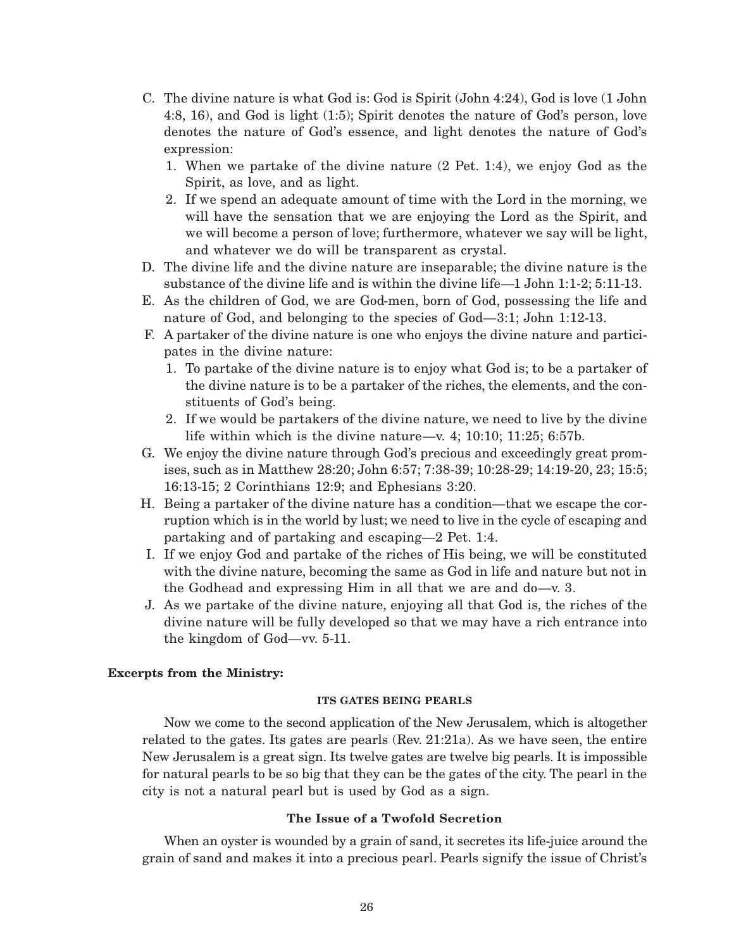- C. The divine nature is what God is: God is Spirit (John 4:24), God is love (1 John 4:8, 16), and God is light (1:5); Spirit denotes the nature of God's person, love denotes the nature of God's essence, and light denotes the nature of God's expression:
	- 1. When we partake of the divine nature (2 Pet. 1:4), we enjoy God as the Spirit, as love, and as light.
	- 2. If we spend an adequate amount of time with the Lord in the morning, we will have the sensation that we are enjoying the Lord as the Spirit, and we will become a person of love; furthermore, whatever we say will be light, and whatever we do will be transparent as crystal.
- D. The divine life and the divine nature are inseparable; the divine nature is the substance of the divine life and is within the divine life—1 John 1:1-2; 5:11-13.
- E. As the children of God, we are God-men, born of God, possessing the life and nature of God, and belonging to the species of God—3:1; John 1:12-13.
- F. A partaker of the divine nature is one who enjoys the divine nature and participates in the divine nature:
	- 1. To partake of the divine nature is to enjoy what God is; to be a partaker of the divine nature is to be a partaker of the riches, the elements, and the constituents of God's being.
	- 2. If we would be partakers of the divine nature, we need to live by the divine life within which is the divine nature—v. 4; 10:10; 11:25; 6:57b.
- G. We enjoy the divine nature through God's precious and exceedingly great promises, such as in Matthew 28:20; John 6:57; 7:38-39; 10:28-29; 14:19-20, 23; 15:5; 16:13-15; 2 Corinthians 12:9; and Ephesians 3:20.
- H. Being a partaker of the divine nature has a condition—that we escape the corruption which is in the world by lust; we need to live in the cycle of escaping and partaking and of partaking and escaping—2 Pet. 1:4.
- I. If we enjoy God and partake of the riches of His being, we will be constituted with the divine nature, becoming the same as God in life and nature but not in the Godhead and expressing Him in all that we are and do—v. 3.
- J. As we partake of the divine nature, enjoying all that God is, the riches of the divine nature will be fully developed so that we may have a rich entrance into the kingdom of God—vv. 5-11.

## **Excerpts from the Ministry:**

### **ITS GATES BEING PEARLS**

Now we come to the second application of the New Jerusalem, which is altogether related to the gates. Its gates are pearls (Rev. 21:21a). As we have seen, the entire New Jerusalem is a great sign. Its twelve gates are twelve big pearls. It is impossible for natural pearls to be so big that they can be the gates of the city. The pearl in the city is not a natural pearl but is used by God as a sign.

## **The Issue of a Twofold Secretion**

When an oyster is wounded by a grain of sand, it secretes its life-juice around the grain of sand and makes it into a precious pearl. Pearls signify the issue of Christ's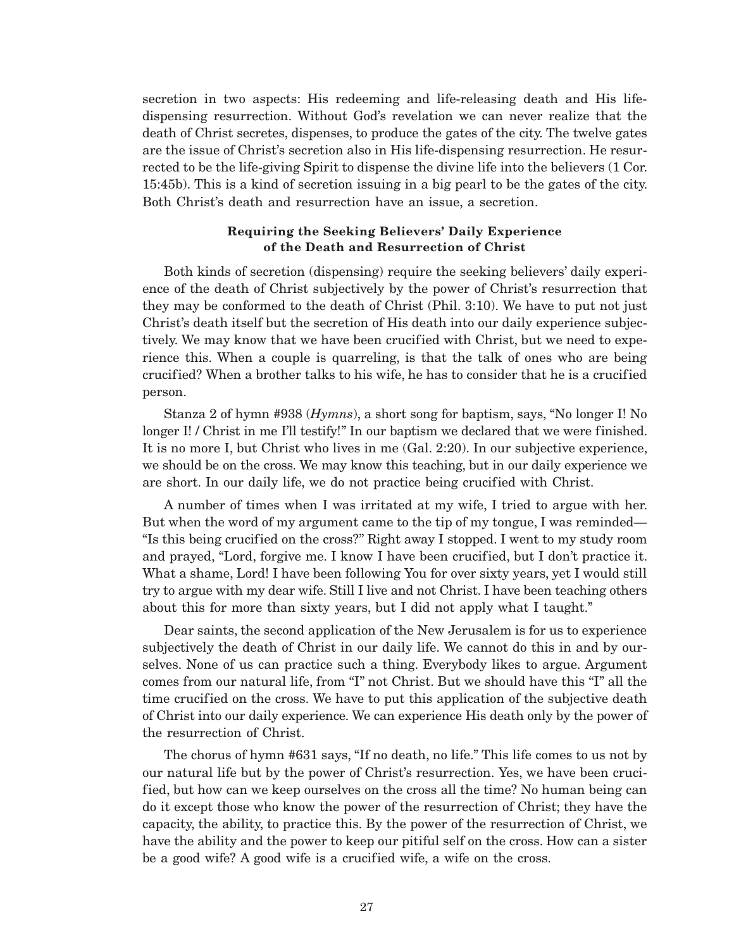secretion in two aspects: His redeeming and life-releasing death and His lifedispensing resurrection. Without God's revelation we can never realize that the death of Christ secretes, dispenses, to produce the gates of the city. The twelve gates are the issue of Christ's secretion also in His life-dispensing resurrection. He resurrected to be the life-giving Spirit to dispense the divine life into the believers (1 Cor. 15:45b). This is a kind of secretion issuing in a big pearl to be the gates of the city. Both Christ's death and resurrection have an issue, a secretion.

## **Requiring the Seeking Believers' Daily Experience of the Death and Resurrection of Christ**

Both kinds of secretion (dispensing) require the seeking believers' daily experience of the death of Christ subjectively by the power of Christ's resurrection that they may be conformed to the death of Christ (Phil. 3:10). We have to put not just Christ's death itself but the secretion of His death into our daily experience subjectively. We may know that we have been crucified with Christ, but we need to experience this. When a couple is quarreling, is that the talk of ones who are being crucified? When a brother talks to his wife, he has to consider that he is a crucified person.

Stanza 2 of hymn #938 (*Hymns*), a short song for baptism, says, "No longer I! No longer I! / Christ in me I'll testify!" In our baptism we declared that we were finished. It is no more I, but Christ who lives in me (Gal. 2:20). In our subjective experience, we should be on the cross. We may know this teaching, but in our daily experience we are short. In our daily life, we do not practice being crucified with Christ.

A number of times when I was irritated at my wife, I tried to argue with her. But when the word of my argument came to the tip of my tongue, I was reminded— "Is this being crucified on the cross?" Right away I stopped. I went to my study room and prayed, "Lord, forgive me. I know I have been crucified, but I don't practice it. What a shame, Lord! I have been following You for over sixty years, yet I would still try to argue with my dear wife. Still I live and not Christ. I have been teaching others about this for more than sixty years, but I did not apply what I taught."

Dear saints, the second application of the New Jerusalem is for us to experience subjectively the death of Christ in our daily life. We cannot do this in and by ourselves. None of us can practice such a thing. Everybody likes to argue. Argument comes from our natural life, from "I" not Christ. But we should have this "I" all the time crucified on the cross. We have to put this application of the subjective death of Christ into our daily experience. We can experience His death only by the power of the resurrection of Christ.

The chorus of hymn #631 says, "If no death, no life." This life comes to us not by our natural life but by the power of Christ's resurrection. Yes, we have been crucified, but how can we keep ourselves on the cross all the time? No human being can do it except those who know the power of the resurrection of Christ; they have the capacity, the ability, to practice this. By the power of the resurrection of Christ, we have the ability and the power to keep our pitiful self on the cross. How can a sister be a good wife? A good wife is a crucified wife, a wife on the cross.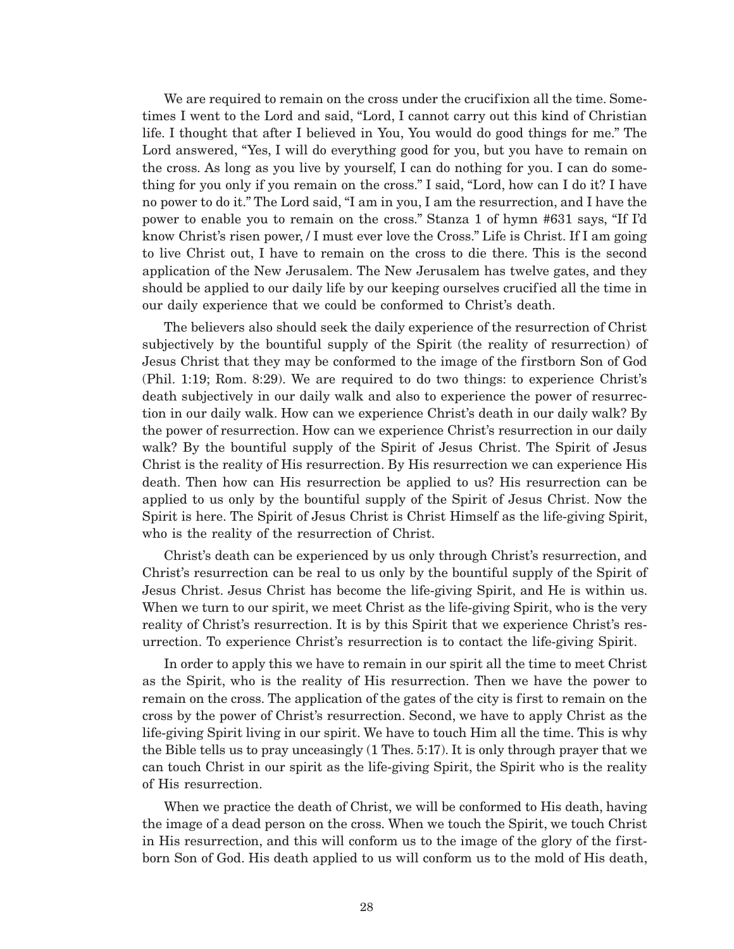We are required to remain on the cross under the crucifixion all the time. Sometimes I went to the Lord and said, "Lord, I cannot carry out this kind of Christian life. I thought that after I believed in You, You would do good things for me." The Lord answered, "Yes, I will do everything good for you, but you have to remain on the cross. As long as you live by yourself, I can do nothing for you. I can do something for you only if you remain on the cross." I said, "Lord, how can I do it? I have no power to do it." The Lord said, "I am in you, I am the resurrection, and I have the power to enable you to remain on the cross." Stanza 1 of hymn #631 says, "If I'd know Christ's risen power, / I must ever love the Cross." Life is Christ. If I am going to live Christ out, I have to remain on the cross to die there. This is the second application of the New Jerusalem. The New Jerusalem has twelve gates, and they should be applied to our daily life by our keeping ourselves crucified all the time in our daily experience that we could be conformed to Christ's death.

The believers also should seek the daily experience of the resurrection of Christ subjectively by the bountiful supply of the Spirit (the reality of resurrection) of Jesus Christ that they may be conformed to the image of the firstborn Son of God (Phil. 1:19; Rom. 8:29). We are required to do two things: to experience Christ's death subjectively in our daily walk and also to experience the power of resurrection in our daily walk. How can we experience Christ's death in our daily walk? By the power of resurrection. How can we experience Christ's resurrection in our daily walk? By the bountiful supply of the Spirit of Jesus Christ. The Spirit of Jesus Christ is the reality of His resurrection. By His resurrection we can experience His death. Then how can His resurrection be applied to us? His resurrection can be applied to us only by the bountiful supply of the Spirit of Jesus Christ. Now the Spirit is here. The Spirit of Jesus Christ is Christ Himself as the life-giving Spirit, who is the reality of the resurrection of Christ.

Christ's death can be experienced by us only through Christ's resurrection, and Christ's resurrection can be real to us only by the bountiful supply of the Spirit of Jesus Christ. Jesus Christ has become the life-giving Spirit, and He is within us. When we turn to our spirit, we meet Christ as the life-giving Spirit, who is the very reality of Christ's resurrection. It is by this Spirit that we experience Christ's resurrection. To experience Christ's resurrection is to contact the life-giving Spirit.

In order to apply this we have to remain in our spirit all the time to meet Christ as the Spirit, who is the reality of His resurrection. Then we have the power to remain on the cross. The application of the gates of the city is first to remain on the cross by the power of Christ's resurrection. Second, we have to apply Christ as the life-giving Spirit living in our spirit. We have to touch Him all the time. This is why the Bible tells us to pray unceasingly (1 Thes. 5:17). It is only through prayer that we can touch Christ in our spirit as the life-giving Spirit, the Spirit who is the reality of His resurrection.

When we practice the death of Christ, we will be conformed to His death, having the image of a dead person on the cross. When we touch the Spirit, we touch Christ in His resurrection, and this will conform us to the image of the glory of the firstborn Son of God. His death applied to us will conform us to the mold of His death,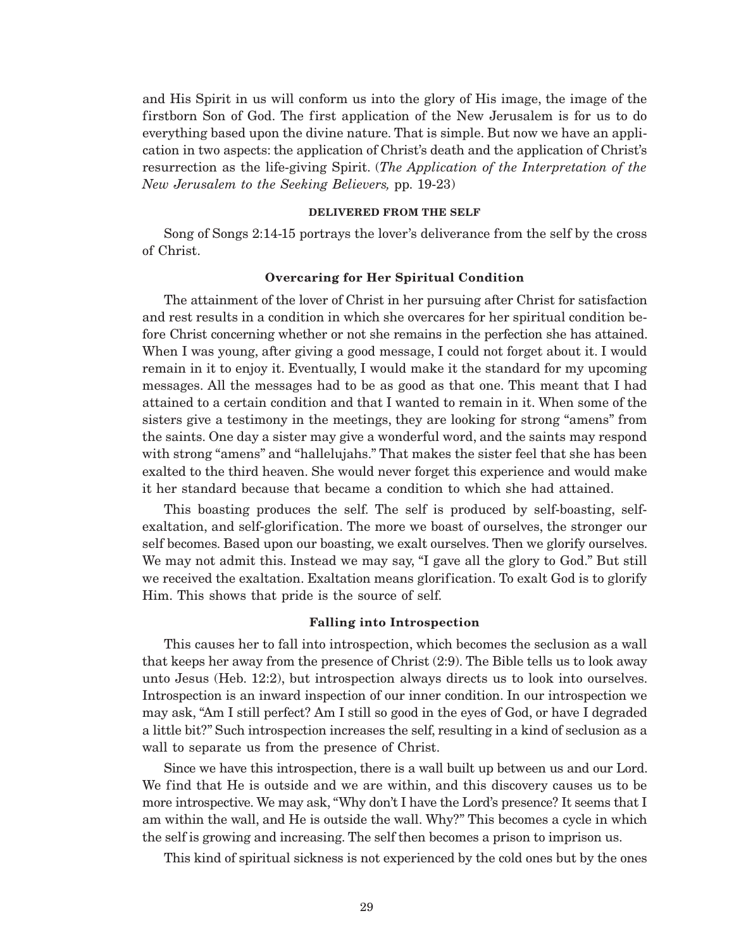and His Spirit in us will conform us into the glory of His image, the image of the firstborn Son of God. The first application of the New Jerusalem is for us to do everything based upon the divine nature. That is simple. But now we have an application in two aspects: the application of Christ's death and the application of Christ's resurrection as the life-giving Spirit. (*The Application of the Interpretation of the New Jerusalem to the Seeking Believers,* pp. 19-23)

#### **DELIVERED FROM THE SELF**

Song of Songs 2:14-15 portrays the lover's deliverance from the self by the cross of Christ.

#### **Overcaring for Her Spiritual Condition**

The attainment of the lover of Christ in her pursuing after Christ for satisfaction and rest results in a condition in which she overcares for her spiritual condition before Christ concerning whether or not she remains in the perfection she has attained. When I was young, after giving a good message, I could not forget about it. I would remain in it to enjoy it. Eventually, I would make it the standard for my upcoming messages. All the messages had to be as good as that one. This meant that I had attained to a certain condition and that I wanted to remain in it. When some of the sisters give a testimony in the meetings, they are looking for strong "amens" from the saints. One day a sister may give a wonderful word, and the saints may respond with strong "amens" and "hallelujahs." That makes the sister feel that she has been exalted to the third heaven. She would never forget this experience and would make it her standard because that became a condition to which she had attained.

This boasting produces the self. The self is produced by self-boasting, selfexaltation, and self-glorification. The more we boast of ourselves, the stronger our self becomes. Based upon our boasting, we exalt ourselves. Then we glorify ourselves. We may not admit this. Instead we may say, "I gave all the glory to God." But still we received the exaltation. Exaltation means glorification. To exalt God is to glorify Him. This shows that pride is the source of self.

#### **Falling into Introspection**

This causes her to fall into introspection, which becomes the seclusion as a wall that keeps her away from the presence of Christ (2:9). The Bible tells us to look away unto Jesus (Heb. 12:2), but introspection always directs us to look into ourselves. Introspection is an inward inspection of our inner condition. In our introspection we may ask, "Am I still perfect? Am I still so good in the eyes of God, or have I degraded a little bit?" Such introspection increases the self, resulting in a kind of seclusion as a wall to separate us from the presence of Christ.

Since we have this introspection, there is a wall built up between us and our Lord. We find that He is outside and we are within, and this discovery causes us to be more introspective. We may ask, "Why don't I have the Lord's presence? It seems that I am within the wall, and He is outside the wall. Why?" This becomes a cycle in which the self is growing and increasing. The self then becomes a prison to imprison us.

This kind of spiritual sickness is not experienced by the cold ones but by the ones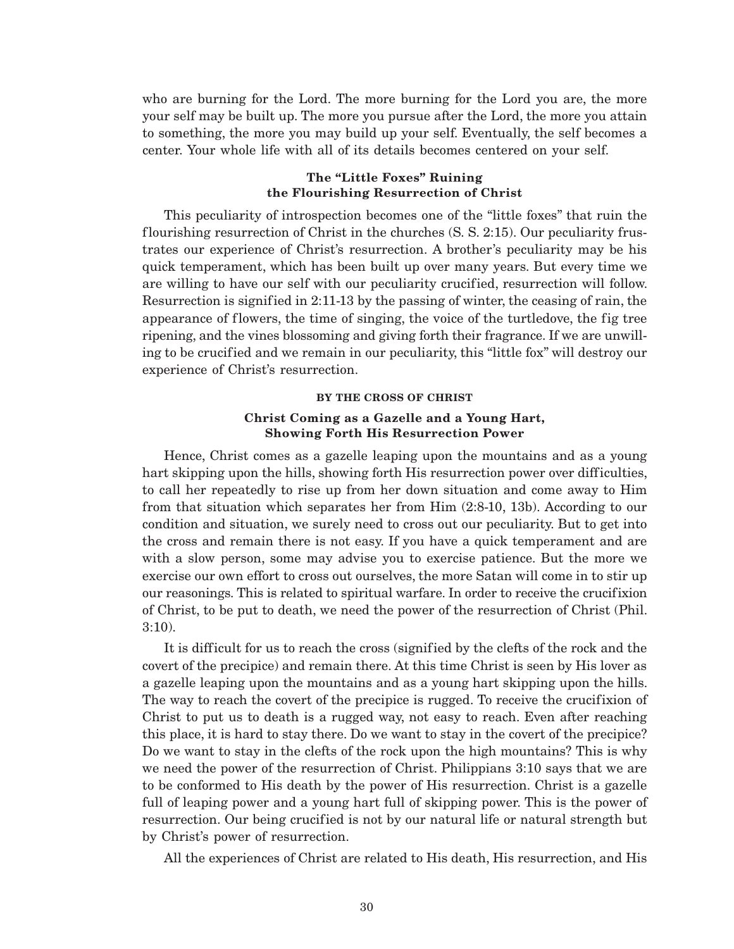who are burning for the Lord. The more burning for the Lord you are, the more your self may be built up. The more you pursue after the Lord, the more you attain to something, the more you may build up your self. Eventually, the self becomes a center. Your whole life with all of its details becomes centered on your self.

### **The "Little Foxes" Ruining the Flourishing Resurrection of Christ**

This peculiarity of introspection becomes one of the "little foxes" that ruin the flourishing resurrection of Christ in the churches (S. S. 2:15). Our peculiarity frustrates our experience of Christ's resurrection. A brother's peculiarity may be his quick temperament, which has been built up over many years. But every time we are willing to have our self with our peculiarity crucified, resurrection will follow. Resurrection is signified in 2:11-13 by the passing of winter, the ceasing of rain, the appearance of flowers, the time of singing, the voice of the turtledove, the fig tree ripening, and the vines blossoming and giving forth their fragrance. If we are unwilling to be crucified and we remain in our peculiarity, this "little fox" will destroy our experience of Christ's resurrection.

### **BY THE CROSS OF CHRIST**

### **Christ Coming as a Gazelle and a Young Hart, Showing Forth His Resurrection Power**

Hence, Christ comes as a gazelle leaping upon the mountains and as a young hart skipping upon the hills, showing forth His resurrection power over difficulties, to call her repeatedly to rise up from her down situation and come away to Him from that situation which separates her from Him (2:8-10, 13b). According to our condition and situation, we surely need to cross out our peculiarity. But to get into the cross and remain there is not easy. If you have a quick temperament and are with a slow person, some may advise you to exercise patience. But the more we exercise our own effort to cross out ourselves, the more Satan will come in to stir up our reasonings. This is related to spiritual warfare. In order to receive the crucifixion of Christ, to be put to death, we need the power of the resurrection of Christ (Phil. 3:10).

It is difficult for us to reach the cross (signified by the clefts of the rock and the covert of the precipice) and remain there. At this time Christ is seen by His lover as a gazelle leaping upon the mountains and as a young hart skipping upon the hills. The way to reach the covert of the precipice is rugged. To receive the crucifixion of Christ to put us to death is a rugged way, not easy to reach. Even after reaching this place, it is hard to stay there. Do we want to stay in the covert of the precipice? Do we want to stay in the clefts of the rock upon the high mountains? This is why we need the power of the resurrection of Christ. Philippians 3:10 says that we are to be conformed to His death by the power of His resurrection. Christ is a gazelle full of leaping power and a young hart full of skipping power. This is the power of resurrection. Our being crucified is not by our natural life or natural strength but by Christ's power of resurrection.

All the experiences of Christ are related to His death, His resurrection, and His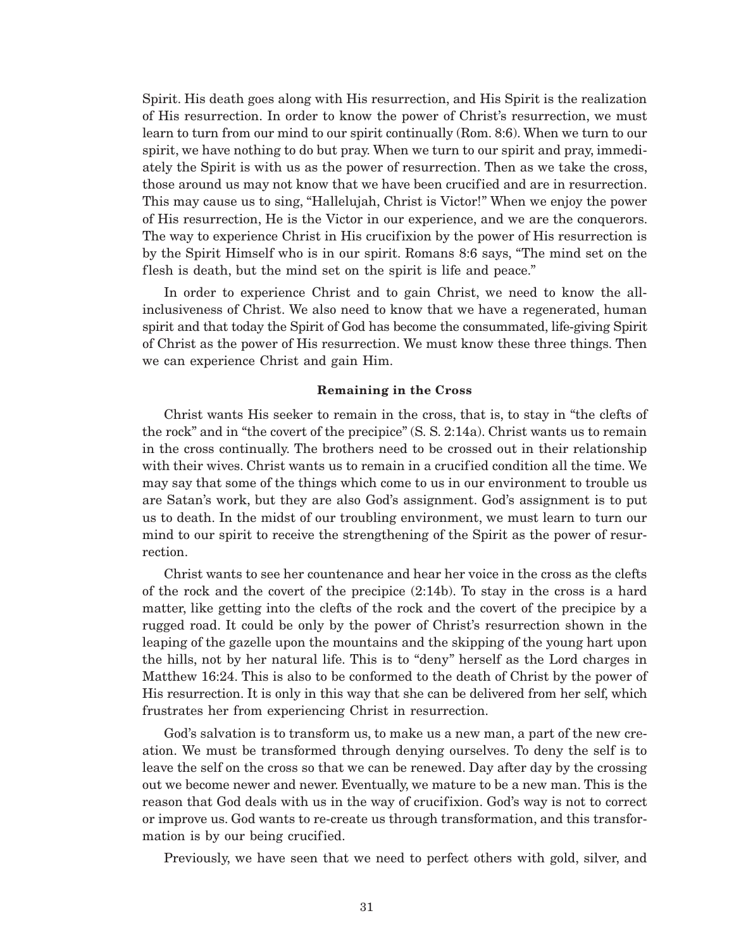Spirit. His death goes along with His resurrection, and His Spirit is the realization of His resurrection. In order to know the power of Christ's resurrection, we must learn to turn from our mind to our spirit continually (Rom. 8:6). When we turn to our spirit, we have nothing to do but pray. When we turn to our spirit and pray, immediately the Spirit is with us as the power of resurrection. Then as we take the cross, those around us may not know that we have been crucified and are in resurrection. This may cause us to sing, "Hallelujah, Christ is Victor!" When we enjoy the power of His resurrection, He is the Victor in our experience, and we are the conquerors. The way to experience Christ in His crucifixion by the power of His resurrection is by the Spirit Himself who is in our spirit. Romans 8:6 says, "The mind set on the flesh is death, but the mind set on the spirit is life and peace."

In order to experience Christ and to gain Christ, we need to know the allinclusiveness of Christ. We also need to know that we have a regenerated, human spirit and that today the Spirit of God has become the consummated, life-giving Spirit of Christ as the power of His resurrection. We must know these three things. Then we can experience Christ and gain Him.

### **Remaining in the Cross**

Christ wants His seeker to remain in the cross, that is, to stay in "the clefts of the rock" and in "the covert of the precipice" (S. S. 2:14a). Christ wants us to remain in the cross continually. The brothers need to be crossed out in their relationship with their wives. Christ wants us to remain in a crucified condition all the time. We may say that some of the things which come to us in our environment to trouble us are Satan's work, but they are also God's assignment. God's assignment is to put us to death. In the midst of our troubling environment, we must learn to turn our mind to our spirit to receive the strengthening of the Spirit as the power of resurrection.

Christ wants to see her countenance and hear her voice in the cross as the clefts of the rock and the covert of the precipice (2:14b). To stay in the cross is a hard matter, like getting into the clefts of the rock and the covert of the precipice by a rugged road. It could be only by the power of Christ's resurrection shown in the leaping of the gazelle upon the mountains and the skipping of the young hart upon the hills, not by her natural life. This is to "deny" herself as the Lord charges in Matthew 16:24. This is also to be conformed to the death of Christ by the power of His resurrection. It is only in this way that she can be delivered from her self, which frustrates her from experiencing Christ in resurrection.

God's salvation is to transform us, to make us a new man, a part of the new creation. We must be transformed through denying ourselves. To deny the self is to leave the self on the cross so that we can be renewed. Day after day by the crossing out we become newer and newer. Eventually, we mature to be a new man. This is the reason that God deals with us in the way of crucifixion. God's way is not to correct or improve us. God wants to re-create us through transformation, and this transformation is by our being crucified.

Previously, we have seen that we need to perfect others with gold, silver, and